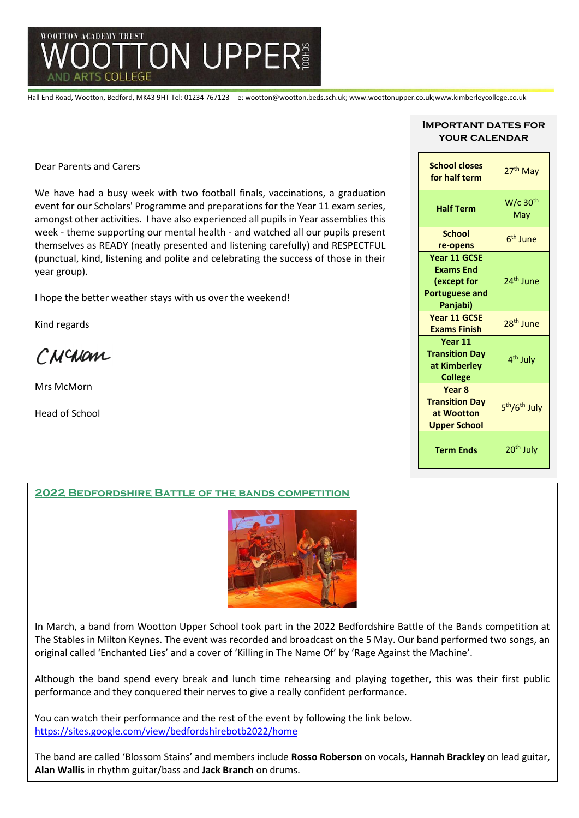

Hall End Road, Wootton, Bedford, MK43 9HT Tel: 01234 767123 e: wootton@wootton.beds.sch.uk; www.woottonupper.co.uk;www.kimberleycollege.co.uk

Dear Parents and Carers

We have had a busy week with two football finals, vaccinations, a graduation event for our Scholars' Programme and preparations for the Year 11 exam series, amongst other activities. I have also experienced all pupils in Year assemblies this week - theme supporting our mental health - and watched all our pupils present themselves as READY (neatly presented and listening carefully) and RESPECTFUL (punctual, kind, listening and polite and celebrating the success of those in their year group).

I hope the better weather stays with us over the weekend!

Kind regards

CNCNam

Mrs McMorn

Head of School

Mr Reeva

## **Important dates for your calendar**

| <b>School closes</b><br>for half term                                                | 27 <sup>th</sup> May                  |
|--------------------------------------------------------------------------------------|---------------------------------------|
| <b>Half Term</b>                                                                     | $W/c$ 30 <sup>th</sup><br>May         |
| <b>School</b><br>re-opens                                                            | 6 <sup>th</sup> June                  |
| Year 11 GCSE<br><b>Exams End</b><br>(except for<br><b>Portuguese and</b><br>Panjabi) | 24 <sup>th</sup> June                 |
| Year 11 GCSE<br><b>Exams Finish</b>                                                  | 28 <sup>th</sup> June                 |
| Year 11<br><b>Transition Dav</b><br>at Kimberley<br><b>College</b>                   | 4 <sup>th</sup> July                  |
| Year <sub>8</sub><br><b>Transition Day</b><br>at Wootton<br><b>Upper School</b>      | 5 <sup>th</sup> /6 <sup>th</sup> July |
| <b>Term Ends</b>                                                                     | 20 <sup>th</sup> July                 |

# **2022 Bedfordshire Battle of the bands competition**



In March, a band from Wootton Upper School took part in the 2022 Bedfordshire Battle of the Bands competition at The Stables in Milton Keynes. The event was recorded and broadcast on the 5 May. Our band performed two songs, an original called 'Enchanted Lies' and a cover of 'Killing in The Name Of' by 'Rage Against the Machine'.

Although the band spend every break and lunch time rehearsing and playing together, this was their first public performance and they conquered their nerves to give a really confident performance.

You can watch their performance and the rest of the event by following the link below. [https://sites.google.com/view/bedfordshirebotb2022/home](https://linkprotect.cudasvc.com/url?a=https%3a%2f%2fsites.google.com%2fview%2fbedfordshirebotb2022%2fhome&c=E,1,hM8VGKq4C6u1YqM8Vwsf_QhqKOovbGSTssD-1jbwDjnYtMp9d90mJVLMCEHOEV5IaALQM9GXWlStxf34ON3gY-oq4u8EwmNeQUWAJv_Ed6EUMva4o9eRDr7n97E0&typo=1)

The band are called 'Blossom Stains' and members include **Rosso Roberson** on vocals, **Hannah Brackley** on lead guitar, **Alan Wallis** in rhythm guitar/bass and **Jack Branch** on drums.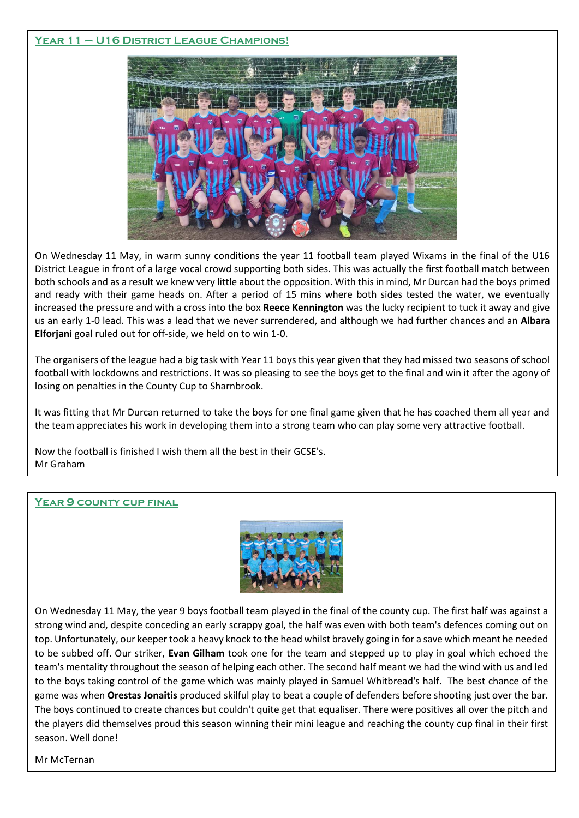# **Year 11 – U16 District League Champions!**



On Wednesday 11 May, in warm sunny conditions the year 11 football team played Wixams in the final of the U16 District League in front of a large vocal crowd supporting both sides. This was actually the first football match between both schools and as a result we knew very little about the opposition. With this in mind, Mr Durcan had the boys primed and ready with their game heads on. After a period of 15 mins where both sides tested the water, we eventually increased the pressure and with a cross into the box **Reece Kennington** was the lucky recipient to tuck it away and give us an early 1-0 lead. This was a lead that we never surrendered, and although we had further chances and an **Albara Elforjani** goal ruled out for off-side, we held on to win 1-0.

The organisers of the league had a big task with Year 11 boys this year given that they had missed two seasons of school football with lockdowns and restrictions. It was so pleasing to see the boys get to the final and win it after the agony of losing on penalties in the County Cup to Sharnbrook.

It was fitting that Mr Durcan returned to take the boys for one final game given that he has coached them all year and the team appreciates his work in developing them into a strong team who can play some very attractive football.

Now the football is finished I wish them all the best in their GCSE's. Mr Graham

# **Year 9 county cup final**



On Wednesday 11 May, the year 9 boys football team played in the final of the county cup. The first half was against a strong wind and, despite conceding an early scrappy goal, the half was even with both team's defences coming out on top. Unfortunately, our keeper took a heavy knock to the head whilst bravely going in for a save which meant he needed to be subbed off. Our striker, **Evan Gilham** took one for the team and stepped up to play in goal which echoed the team's mentality throughout the season of helping each other. The second half meant we had the wind with us and led to the boys taking control of the game which was mainly played in Samuel Whitbread's half. The best chance of the game was when **Orestas Jonaitis** produced skilful play to beat a couple of defenders before shooting just over the bar. The boys continued to create chances but couldn't quite get that equaliser. There were positives all over the pitch and the players did themselves proud this season winning their mini league and reaching the county cup final in their first season. Well done!

Mr McTernan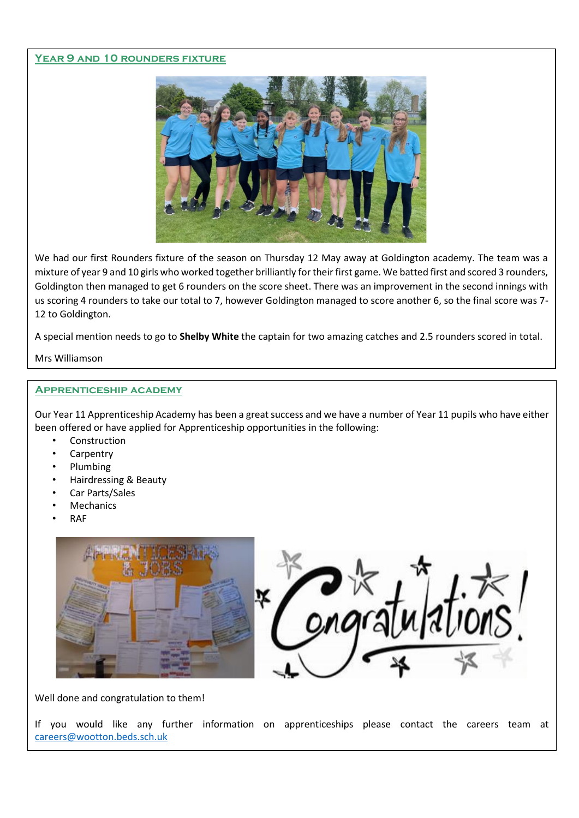# **Year 9 and 10 rounders fixture**



We had our first Rounders fixture of the season on Thursday 12 May away at Goldington academy. The team was a mixture of year 9 and 10 girls who worked together brilliantly for their first game. We batted first and scored 3 rounders, Goldington then managed to get 6 rounders on the score sheet. There was an improvement in the second innings with us scoring 4 rounders to take our total to 7, however Goldington managed to score another 6, so the final score was 7- 12 to Goldington.

A special mention needs to go to **Shelby White** the captain for two amazing catches and 2.5 rounders scored in total.

Mrs Williamson

# .**Apprenticeship academy**

Our Year 11 Apprenticeship Academy has been a great success and we have a number of Year 11 pupils who have either been offered or have applied for Apprenticeship opportunities in the following:

- **Construction**
- **Carpentry**
- Plumbing
- Hairdressing & Beauty
- Car Parts/Sales
- **Mechanics**
- RAF





Well done and congratulation to them!

If you would like any further information on apprenticeships please contact the careers team at [careers@wootton.beds.sch.uk](mailto:careers@wootton.beds.sch.uk)